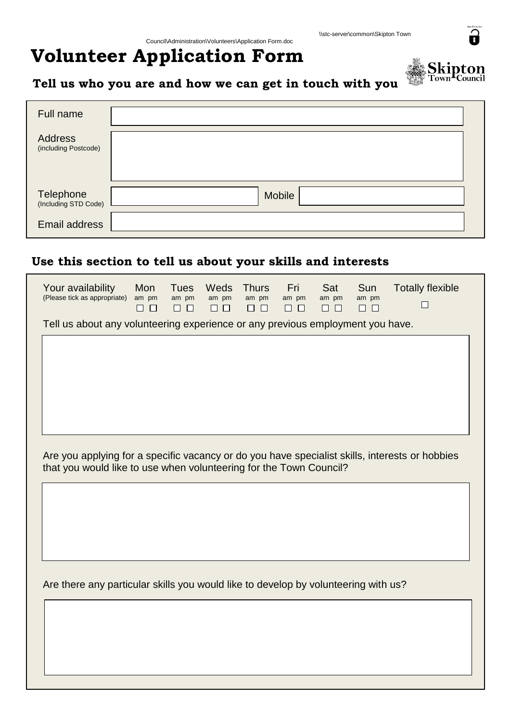## **Volunteer Application Form**



## **Tell us who you are and how we can get in touch with you**

| Full name                              |        |
|----------------------------------------|--------|
| <b>Address</b><br>(including Postcode) |        |
| Telephone<br>(Including STD Code)      | Mobile |
| Email address                          |        |

## **Use this section to tell us about your skills and interests**

| Your availability<br>(Please tick as appropriate)                                                                                                                    | Mon<br>am pm<br>$\Box$ $\Box$ | Tues<br>am pm<br>$\Box$<br>$\Box$ | Weds<br>am pm<br>$\Box$ | <b>Thurs</b><br>am pm<br>$\Box$ $\Box$ | Fri<br>am pm<br>$\Box$ $\Box$ | Sat<br>am pm<br>$\Box$ $\Box$ | Sun<br>am pm<br>$\Box$ $\Box$ | <b>Totally flexible</b><br>П |
|----------------------------------------------------------------------------------------------------------------------------------------------------------------------|-------------------------------|-----------------------------------|-------------------------|----------------------------------------|-------------------------------|-------------------------------|-------------------------------|------------------------------|
| Tell us about any volunteering experience or any previous employment you have.                                                                                       |                               |                                   |                         |                                        |                               |                               |                               |                              |
|                                                                                                                                                                      |                               |                                   |                         |                                        |                               |                               |                               |                              |
|                                                                                                                                                                      |                               |                                   |                         |                                        |                               |                               |                               |                              |
|                                                                                                                                                                      |                               |                                   |                         |                                        |                               |                               |                               |                              |
|                                                                                                                                                                      |                               |                                   |                         |                                        |                               |                               |                               |                              |
|                                                                                                                                                                      |                               |                                   |                         |                                        |                               |                               |                               |                              |
| Are you applying for a specific vacancy or do you have specialist skills, interests or hobbies<br>that you would like to use when volunteering for the Town Council? |                               |                                   |                         |                                        |                               |                               |                               |                              |
|                                                                                                                                                                      |                               |                                   |                         |                                        |                               |                               |                               |                              |
|                                                                                                                                                                      |                               |                                   |                         |                                        |                               |                               |                               |                              |
|                                                                                                                                                                      |                               |                                   |                         |                                        |                               |                               |                               |                              |
|                                                                                                                                                                      |                               |                                   |                         |                                        |                               |                               |                               |                              |
|                                                                                                                                                                      |                               |                                   |                         |                                        |                               |                               |                               |                              |
| Are there any particular skills you would like to develop by volunteering with us?                                                                                   |                               |                                   |                         |                                        |                               |                               |                               |                              |
|                                                                                                                                                                      |                               |                                   |                         |                                        |                               |                               |                               |                              |
|                                                                                                                                                                      |                               |                                   |                         |                                        |                               |                               |                               |                              |
|                                                                                                                                                                      |                               |                                   |                         |                                        |                               |                               |                               |                              |
|                                                                                                                                                                      |                               |                                   |                         |                                        |                               |                               |                               |                              |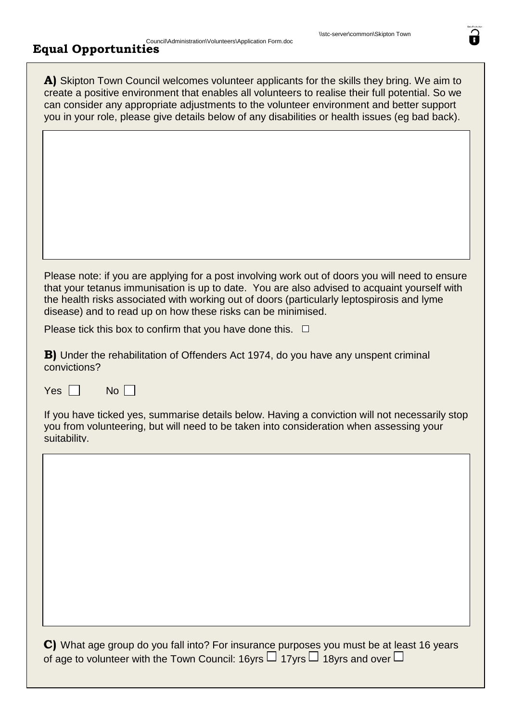## Council\Administration\Volunteers\Application Form.doc **Equal Opportunities**

| A) Skipton Town Council welcomes volunteer applicants for the skills they bring. We aim to<br>create a positive environment that enables all volunteers to realise their full potential. So we<br>can consider any appropriate adjustments to the volunteer environment and better support<br>you in your role, please give details below of any disabilities or health issues (eg bad back). |
|-----------------------------------------------------------------------------------------------------------------------------------------------------------------------------------------------------------------------------------------------------------------------------------------------------------------------------------------------------------------------------------------------|
|                                                                                                                                                                                                                                                                                                                                                                                               |
|                                                                                                                                                                                                                                                                                                                                                                                               |
|                                                                                                                                                                                                                                                                                                                                                                                               |
| Please note: if you are applying for a post involving work out of doors you will need to ensure<br>that your tetanus immunisation is up to date. You are also advised to acquaint yourself with<br>the health risks associated with working out of doors (particularly leptospirosis and lyme<br>disease) and to read up on how these risks can be minimised.                                 |
| Please tick this box to confirm that you have done this. $\Box$                                                                                                                                                                                                                                                                                                                               |
| <b>B)</b> Under the rehabilitation of Offenders Act 1974, do you have any unspent criminal<br>convictions?                                                                                                                                                                                                                                                                                    |
| $No$    <br>Yes $\Box$                                                                                                                                                                                                                                                                                                                                                                        |
| If you have ticked yes, summarise details below. Having a conviction will not necessarily stop<br>you from volunteering, but will need to be taken into consideration when assessing your<br>suitability.                                                                                                                                                                                     |
|                                                                                                                                                                                                                                                                                                                                                                                               |
|                                                                                                                                                                                                                                                                                                                                                                                               |
|                                                                                                                                                                                                                                                                                                                                                                                               |
|                                                                                                                                                                                                                                                                                                                                                                                               |
|                                                                                                                                                                                                                                                                                                                                                                                               |
|                                                                                                                                                                                                                                                                                                                                                                                               |
|                                                                                                                                                                                                                                                                                                                                                                                               |
| C) What age group do you fall into? For insurance purposes you must be at least 16 years<br>of age to volunteer with the Town Council: 16yrs $\Box$ 17yrs $\Box$ 18yrs and over $\Box$                                                                                                                                                                                                        |